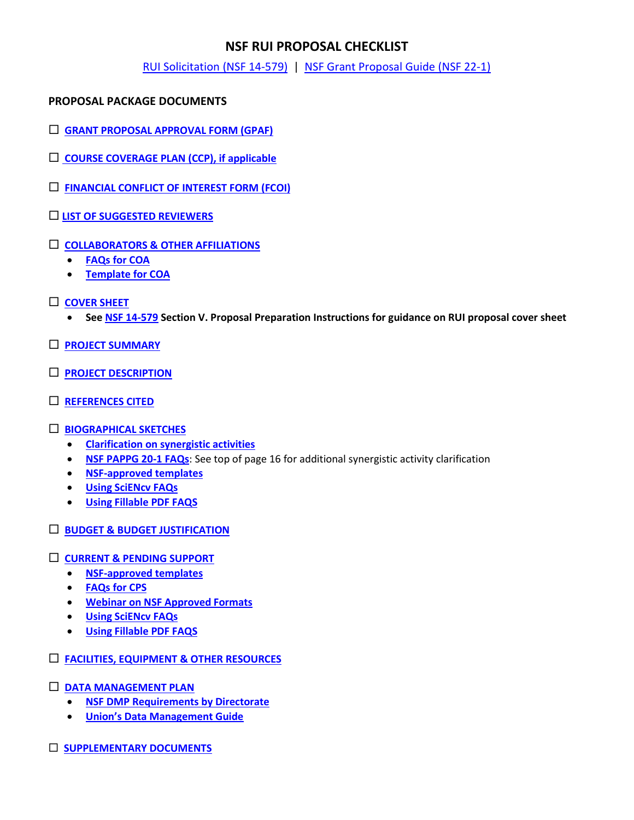# **NSF RUI PROPOSAL CHECKLIST**

[RUI Solicitation](https://www.nsf.gov/publications/pub_summ.jsp?WT.z_pims_id=5518&ods_key=nsf14579) (NSF 14-579) | [NSF Grant Proposal Guide \(NSF 22-1\)](https://www.nsf.gov/pubs/policydocs/pappg22_1/index.jsp)

# **PROPOSAL PACKAGE DOCUMENTS**

- **[GRANT PROPOSAL APPROVAL FORM \(GPAF\)](https://www.union.edu/sites/default/files/grants/202109/gpaf-090121.pdf)**
- **[COURSE COVERAGE PLAN \(CCP\), if applicable](https://www.union.edu/sites/default/files/grants/202009/course-coverage-plan-9152020.pdf)**
- **[FINANCIAL CONFLICT OF INTEREST FORM \(FCOI\)](https://union-college.formstack.com/workflows/fcoi)**
- **[LIST OF SUGGESTED REVIEWERS](https://www.nsf.gov/pubs/policydocs/pappg22_1/pappg_2.jsp#IIC1b)**
- **[COLLABORATORS & OTHER AFFILIATIONS](https://www.nsf.gov/pubs/policydocs/pappg22_1/pappg_2.jsp#IIC1e)**
	- **[FAQs for COA](https://www.nsf.gov/bfa/dias/policy/coa/faqs_coatemplateaug2020.pdf)**
	- **[Template for COA](https://www.nsf.gov/bfa/dias/policy/coa.jsp)**
- **[COVER SHEET](https://www.nsf.gov/pubs/policydocs/pappg22_1/pappg_2.jsp#IIC2a)**
	- **Se[e NSF 14-579](https://www.nsf.gov/publications/pub_summ.jsp?WT.z_pims_id=5518&ods_key=nsf14579) Section V. Proposal Preparation Instructions for guidance on RUI proposal cover sheet**
- **[PROJECT SUMMARY](https://www.nsf.gov/pubs/policydocs/pappg22_1/pappg_2.jsp#IIC2b)**
- **[PROJECT DESCRIPTION](https://www.nsf.gov/pubs/policydocs/pappg22_1/pappg_2.jsp#IIC2d)**
- **[REFERENCES CITED](https://www.nsf.gov/pubs/policydocs/pappg22_1/pappg_2.jsp#IIC2e)**
- **[BIOGRAPHICAL SKETCHES](https://www.nsf.gov/pubs/policydocs/pappg22_1/pappg_2.jsp#IIC2f)**
	- **[Clarification on synergistic activities](https://www.youtube.com/watch?v=OgZHhoHTqf4&feature=youtu.be&t=3075)**
	- **[NSF PAPPG 20-1 FAQs](https://www.nsf.gov/bfa/dias/policy/papp/pappg20_1/faqs20_1.pdf)**: See top of page 16 for additional synergistic activity clarification
	- **[NSF-approved templates](https://www.nsf.gov/bfa/dias/policy/biosketch.jsp)**
	- **[Using SciENcv FAQs](https://www.research.gov/common/attachment/Desktop/SciENcv-FAQs.pdf)**
	- **[Using Fillable PDF FAQS](https://www.research.gov/common/attachment/Desktop/NSFPDF-FAQs.pdf)**
- **[BUDGET & BUDGET JUSTIFICATION](https://www.nsf.gov/pubs/policydocs/pappg22_1/pappg_2.jsp#IIC2g)**

## **[CURRENT & PENDING SUPPORT](https://www.nsf.gov/pubs/policydocs/pappg22_1/pappg_2.jsp#IIC2h)**

- **[NSF-approved templates](https://www.nsf.gov/bfa/dias/policy/cps.jsp)**
- **[FAQs for CPS](https://www.nsf.gov/bfa/dias/policy/cps_faqs/currentandpendingfaqs_june2021.pdf)**
- **[Webinar on NSF Approved Formats](https://nsfpolicyoutreach.com/resources/april-2020-nsf-approved-formats-for-proposals/)**
- **[Using SciENcv FAQs](https://www.research.gov/common/attachment/Desktop/SciENcv-FAQs.pdf)**
- **[Using Fillable PDF FAQS](https://www.research.gov/common/attachment/Desktop/NSFPDF-FAQs.pdf)**
- **[FACILITIES, EQUIPMENT & OTHER RESOURCES](https://www.nsf.gov/pubs/policydocs/pappg22_1/pappg_2.jsp#IIC2i)**
- **[DATA MANAGEMENT PLAN](https://www.nsf.gov/pubs/policydocs/pappg22_1/pappg_2.jsp#dmp)**
	- **[NSF DMP Requirements by Directorate](https://www.nsf.gov/bfa/dias/policy/dmp.jsp)**
	- **[Union's Data Management Guide](https://www.union.edu/sites/default/files/grants/201905/dmpguide.pdf)**
- **[SUPPLEMENTARY DOCUMENTS](https://www.nsf.gov/pubs/policydocs/pappg22_1/pappg_2.jsp#IIC2j)**